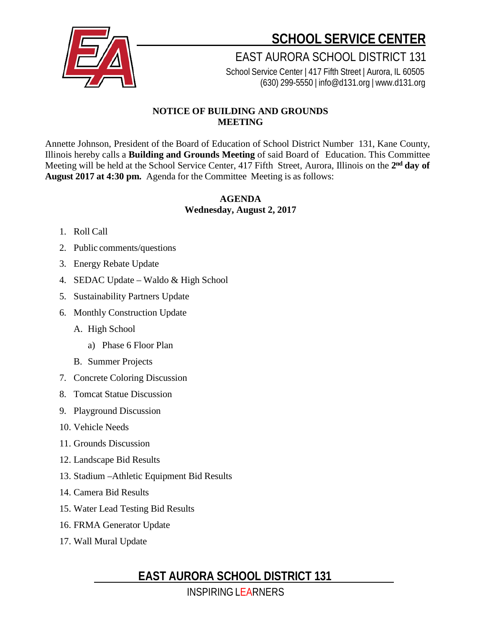

**SCHOOL SERVICE CENTER**

EAST AURORA SCHOOL DISTRICT 131

School Service Center | 417 Fifth Street | Aurora, IL 60505 (630) 299-5550 | [info@d131.org](mailto:info@d131.org) | [www.d131.org](http://www.d131.org/)

## **NOTICE OF BUILDING AND GROUNDS MEETING**

Annette Johnson, President of the Board of Education of School District Number 131, Kane County, Illinois hereby calls a **Building and Grounds Meeting** of said Board of Education. This Committee Meeting will be held at the School Service Center, 417 Fifth Street, Aurora, Illinois on the **2nd day of August 2017 at 4:30 pm.** Agenda for the Committee Meeting is as follows:

## **AGENDA Wednesday, August 2, 2017**

- 1. Roll Call
- 2. Public comments/questions
- 3. Energy Rebate Update
- 4. SEDAC Update Waldo & High School
- 5. Sustainability Partners Update
- 6. Monthly Construction Update
	- A. High School
		- a) Phase 6 Floor Plan
	- B. Summer Projects
- 7. Concrete Coloring Discussion
- 8. Tomcat Statue Discussion
- 9. Playground Discussion
- 10. Vehicle Needs
- 11. Grounds Discussion
- 12. Landscape Bid Results
- 13. Stadium –Athletic Equipment Bid Results
- 14. Camera Bid Results
- 15. Water Lead Testing Bid Results
- 16. FRMA Generator Update
- 17. Wall Mural Update

**EAST AURORA SCHOOL DISTRICT 131**